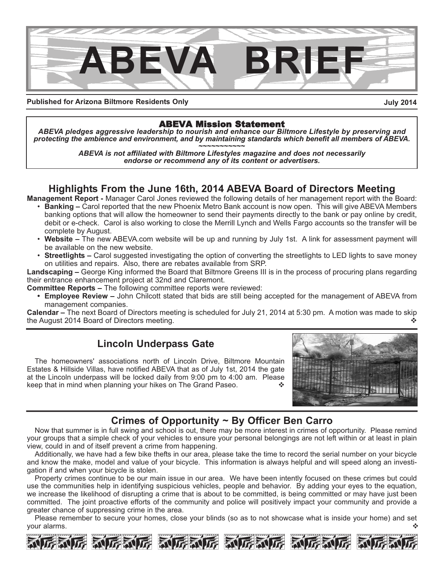

**Published for Arizona Biltmore Residents Only**

**July 2014**

# ABEVA Mission Statement

*ABEVA pledges aggressive leadership to nourish and enhance our Biltmore Lifestyle by preserving and protecting the ambience and environment, and by maintaining standards which benefit all members of ABEVA. ~~~~~~~~~~~*

*ABEVA is not affiliated with Biltmore Lifestyles magazine and does not necessarily endorse or recommend any of its content or advertisers.*

# **Highlights From the June 16th, 2014 ABEVA Board of Directors Meeting**

**Management Report -** Manager Carol Jones reviewed the following details of her management report with the Board:

- **Banking –** Carol reported that the new Phoenix Metro Bank account is now open. This will give ABEVA Members banking options that will allow the homeowner to send their payments directly to the bank or pay online by credit, debit or e-check. Carol is also working to close the Merrill Lynch and Wells Fargo accounts so the transfer will be complete by August.
- **Website** The new ABEVA.com website will be up and running by July 1st. A link for assessment payment will be available on the new website.
- **Streetlights** Carol suggested investigating the option of converting the streetlights to LED lights to save money on utilities and repairs. Also, there are rebates available from SRP.

**Landscaping –** George King informed the Board that Biltmore Greens III is in the process of procuring plans regarding their entrance enhancement project at 32nd and Claremont.

**Committee Reports –** The following committee reports were reviewed:

**• Employee Review –** John Chilcott stated that bids are still being accepted for the management of ABEVA from management companies.

**Calendar –** The next Board of Directors meeting is scheduled for July 21, 2014 at 5:30 pm. A motion was made to skip the August 2014 Board of Directors meeting.  $\diamond$ 

# **Lincoln Underpass Gate**

The homeowners' associations north of Lincoln Drive, Biltmore Mountain Estates & Hillside Villas, have notified ABEVA that as of July 1st, 2014 the gate at the Lincoln underpass will be locked daily from 9:00 pm to 4:00 am. Please keep that in mind when planning your hikes on The Grand Paseo.



# **Crimes of Opportunity ~ By Officer Ben Carro**

Now that summer is in full swing and school is out, there may be more interest in crimes of opportunity. Please remind your groups that a simple check of your vehicles to ensure your personal belongings are not left within or at least in plain view, could in and of itself prevent a crime from happening.

Additionally, we have had a few bike thefts in our area, please take the time to record the serial number on your bicycle and know the make, model and value of your bicycle. This information is always helpful and will speed along an investigation if and when your bicycle is stolen.

Property crimes continue to be our main issue in our area. We have been intently focused on these crimes but could use the communities help in identifying suspicious vehicles, people and behavior. By adding your eyes to the equation, we increase the likelihood of disrupting a crime that is about to be committed, is being committed or may have just been committed. The joint proactive efforts of the community and police will positively impact your community and provide a greater chance of suppressing crime in the area.

Please remember to secure your homes, close your blinds (so as to not showcase what is inside your home) and set your alarms.  $\mathbf{\hat{v}}$  , we have a set of  $\mathbf{\hat{v}}$  , we have a set of  $\mathbf{\hat{v}}$  ,  $\mathbf{\hat{v}}$ 

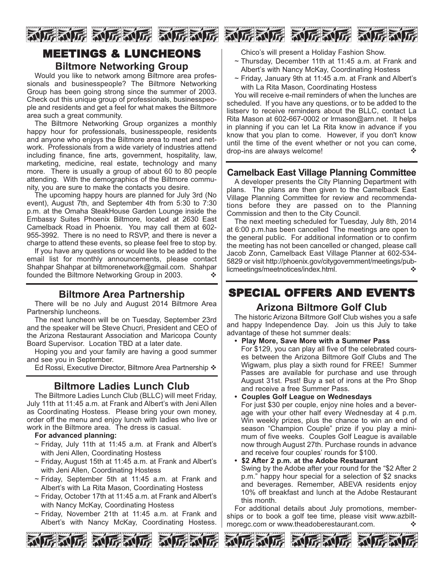







Would you like to network among Biltmore area professionals and businesspeople? The Biltmore Networking Group has been going strong since the summer of 2003. Check out this unique group of professionals, businesspeople and residents and get a feel for what makes the Biltmore area such a great community.

The Biltmore Networking Group organizes a monthly happy hour for professionals, businesspeople, residents and anyone who enjoys the Biltmore area to meet and network. Professionals from a wide variety of industries attend including finance, fine arts, government, hospitality, law, marketing, medicine, real estate, technology and many more. There is usually a group of about 60 to 80 people attending. With the demographics of the Biltmore community, you are sure to make the contacts you desire.

The upcoming happy hours are planned for July 3rd (No event), August 7th, and September 4th from 5:30 to 7:30 p.m. at the Omaha SteakHouse Garden Lounge inside the Embassy Suites Phoenix Biltmore, located at 2630 East Camelback Road in Phoenix. You may call them at 602- 955-3992. There is no need to RSVP, and there is never a charge to attend these events, so please feel free to stop by.

If you have any questions or would like to be added to the email list for monthly announcements, please contact Shahpar Shahpar at biltmorenetwork@gmail.com. Shahpar founded the Biltmore Networking Group in 2003.  $\bullet\bullet$ 

# **Biltmore Area Partnership**

There will be no July and August 2014 Biltmore Area Partnership luncheons.

The next luncheon will be on Tuesday, September 23rd and the speaker will be Steve Chucri, President and CEO of the Arizona Restaurant Association and Maricopa County Board Supervisor. Location TBD at a later date.

Hoping you and your family are having a good summer and see you in September.

Ed Rossi, Executive Director, Biltmore Area Partnership  $\clubsuit$ 

# **Biltmore Ladies Lunch Club**

The Biltmore Ladies Lunch Club (BLLC) will meet Friday, July 11th at 11:45 a.m. at Frank and Albert's with Jeni Allen as Coordinating Hostess. Please bring your own money, order off the menu and enjoy lunch with ladies who live or work in the Biltmore area. The dress is casual.

### **For advanced planning:**

- $\sim$  Friday, July 11th at 11:45 a.m. at Frank and Albert's with Jeni Allen, Coordinating Hostess
- ~ Friday, August 15th at 11:45 a.m. at Frank and Albert's with Jeni Allen, Coordinating Hostess
- $\sim$  Friday, September 5th at 11:45 a.m. at Frank and Albert's with La Rita Mason, Coordinating Hostess
- ~ Friday, October 17th at 11:45 a.m. at Frank and Albert's with Nancy McKay, Coordinating Hostess
- $\sim$  Friday, November 21th at 11:45 a.m. at Frank and Albert's with Nancy McKay, Coordinating Hostess.

Chico's will present a Holiday Fashion Show.

- ~ Thursday, December 11th at 11:45 a.m. at Frank and Albert's with Nancy McKay, Coordinating Hostess
- $\sim$  Friday, January 9th at 11:45 a.m. at Frank and Albert's with La Rita Mason, Coordinating Hostess

You will receive e-mail reminders of when the lunches are scheduled. If you have any questions, or to be added to the listserv to receive reminders about the BLLC, contact La Rita Mason at 602-667-0002 or lrmason@arn.net. It helps in planning if you can let La Rita know in advance if you know that you plan to come. However, if you don't know until the time of the event whether or not you can come, drop-ins are always welcome!  $\triangle$ 

# **Camelback East Village Planning Committee**

A developer presents the City Planning Department with plans. The plans are then given to the Camelback East Village Planning Committee for review and recommendations before they are passed on to the Planning Commission and then to the City Council.

The next meeting scheduled for Tuesday, July 8th, 2014 at 6:00 p.m.has been cancelled The meetings are open to the general public. For additional information or to confirm the meeting has not been cancelled or changed, please call Jacob Zonn, Camelback East Village Planner at 602-534- 5829 or visit http://phoenix.gov/citygovernment/meetings/publicmeetings/meetnotices/index.html. ◆ ◆

# SPECIAL OFFERS AND EVENTS

### **Arizona Biltmore Golf Club**

The historic Arizona Biltmore Golf Club wishes you a safe and happy Independence Day. Join us this July to take advantage of these hot summer deals:

#### **• Play More, Save More with a Summer Pass**

For \$129, you can play all five of the celebrated courses between the Arizona Biltmore Golf Clubs and The Wigwam, plus play a sixth round for FREE! Summer Passes are available for purchase and use through August 31st. Psst! Buy a set of irons at the Pro Shop and receive a free Summer Pass.

#### **• Couples Golf League on Wednesdays**

For just \$30 per couple, enjoy nine holes and a beverage with your other half every Wednesday at 4 p.m. Win weekly prizes, plus the chance to win an end of season "Champion Couple" prize if you play a minimum of five weeks. Couples Golf League is available now through August 27th. Purchase rounds in advance and receive four couples' rounds for \$100.

#### **• \$2 After 2 p.m. at the Adobe Restaurant** Swing by the Adobe after your round for the "\$2 After 2

p.m." happy hour special for a selection of \$2 snacks and beverages. Remember, ABEVA residents enjoy 10% off breakfast and lunch at the Adobe Restaurant this month.

For additional details about July promotions, memberships or to book a golf tee time, please visit www.azbiltmoregc.com or www.theadoberestaurant.com.  $\diamond$ 





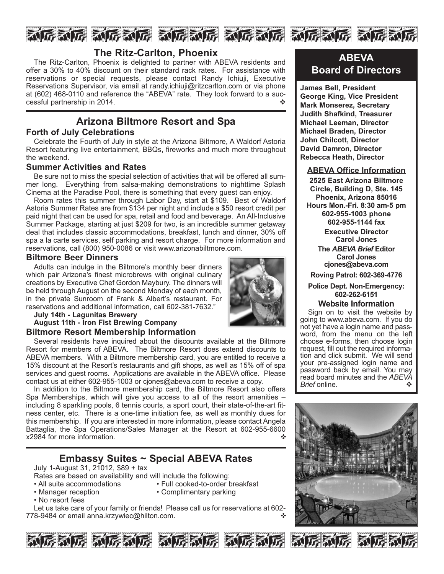

## **The Ritz-Carlton, Phoenix**

The Ritz-Carlton, Phoenix is delighted to partner with ABEVA residents and offer a 30% to 40% discount on their standard rack rates. For assistance with reservations or special requests, please contact Randy Ichiuji, Executive Reservations Supervisor, via email at randy.ichiuji@ritzcarlton.com or via phone at (602) 468-0110 and reference the "ABEVA" rate. They look forward to a successful partnership in 2014.

# **Arizona Biltmore Resort and Spa**

### **Forth of July Celebrations**

Celebrate the Fourth of July in style at the Arizona Biltmore, A Waldorf Astoria Resort featuring live entertainment, BBQs, fireworks and much more throughout the weekend.

### **Summer Activities and Rates**

Be sure not to miss the special selection of activities that will be offered all summer long. Everything from salsa-making demonstrations to nighttime Splash Cinema at the Paradise Pool, there is something that every guest can enjoy.

Room rates this summer through Labor Day, start at \$109. Best of Waldorf Astoria Summer Rates are from \$134 per night and include a \$50 resort credit per paid night that can be used for spa, retail and food and beverage. An All-Inclusive Summer Package, starting at just \$209 for two, is an incredible summer getaway deal that includes classic accommodations, breakfast, lunch and dinner, 30% off spa a la carte services, self parking and resort charge. For more information and reservations, call (800) 950-0086 or visit www.arizonabiltmore.com.

### **Biltmore Beer Dinners**

Adults can indulge in the Biltmore's monthly beer dinners which pair Arizona's finest microbrews with original culinary creations by Executive Chef Gordon Maybury. The dinners will be held through August on the second Monday of each month, in the private Sunroom of Frank & Albert's restaurant. For reservations and additional information, call 602-381-7632."



### **August 11th - Iron Fist Brewing Company Biltmore Resort Membership Information**

Several residents have inquired about the discounts available at the Biltmore Resort for members of ABEVA. The Biltmore Resort does extend discounts to ABEVA members. With a Biltmore membership card, you are entitled to receive a 15% discount at the Resort's restaurants and gift shops, as well as 15% off of spa services and guest rooms. Applications are available in the ABEVA office. Please contact us at either 602-955-1003 or cjones@abeva.com to receive a copy.

In addition to the Biltmore membership card, the Biltmore Resort also offers Spa Memberships, which will give you access to all of the resort amenities – including 8 sparkling pools, 6 tennis courts, a sport court, their state-of-the-art fitness center, etc. There is a one-time initiation fee, as well as monthly dues for this membership. If you are interested in more information, please contact Angela Battaglia, the Spa Operations/Sales Manager at the Resort at 602-955-6600  $x2984$  for more information.

# **Embassy Suites ~ Special ABEVA Rates**

July 1-August 31, 21012, \$89 + tax

- Rates are based on availability and will include the following:
- 
- All suite accommodations Full cooked-to-order breakfast<br>• Manager reception Complimentary parking • Complimentary parking
- No resort fees
- Let us take care of your family or friends! Please call us for reservations at 602- 778-9484 or email anna.krzywiec@hilton.com.









**James Bell, President George King, Vice President Mark Monserez, Secretary Judith Shafkind, Treasurer Michael Leeman, Director Michael Braden, Director John Chilcott, Director David Damron, Director Rebecca Heath, Director**

### **ABEVA Office Information**

**2525 East Arizona Biltmore Circle, Building D, Ste. 145 Phoenix, Arizona 85016 Hours Mon.-Fri. 8:30 am-5 pm 602-955-1003 phone 602-955-1144 fax Executive Director Carol Jones The** *ABEVA Brief* **Editor**

**Carol Jones cjones@abeva.com**

**Roving Patrol: 602-369-4776**

### **Police Dept. Non-Emergency: 602-262-6151**

### **Website Information**

Sign on to visit the website by going to www.abeva.com. If you do not yet have a login name and password, from the menu on the left choose e-forms, then choose login request, fill out the required information and click submit. We will send your pre-assigned login name and password back by email. You may read board minutes and the *ABEVA Brief* online. ◆